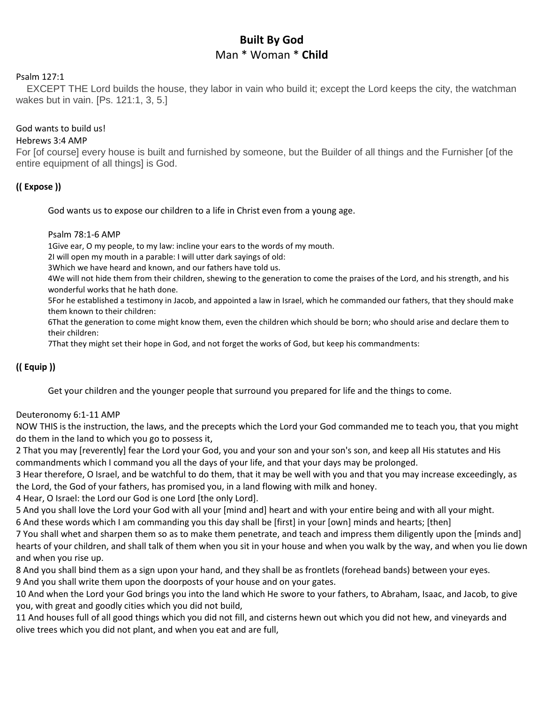# **Built By God** Man \* Woman \* **Child**

#### Psalm 127:1

EXCEPT THE Lord builds the house, they labor in vain who build it; except the Lord keeps the city, the watchman wakes but in vain. [Ps. 121:1, 3, 5.]

### God wants to build us!

#### Hebrews 3:4 AMP

For [of course] every house is built and furnished by someone, but the Builder of all things and the Furnisher [of the entire equipment of all things] is God.

## **(( Expose ))**

God wants us to expose our children to a life in Christ even from a young age.

#### Psalm 78:1-6 AMP

1Give ear, O my people, to my law: incline your ears to the words of my mouth.

2I will open my mouth in a parable: I will utter dark sayings of old:

3Which we have heard and known, and our fathers have told us.

4We will not hide them from their children, shewing to the generation to come the praises of the Lord, and his strength, and his wonderful works that he hath done.

5For he established a testimony in Jacob, and appointed a law in Israel, which he commanded our fathers, that they should make them known to their children:

6That the generation to come might know them, even the children which should be born; who should arise and declare them to their children:

7That they might set their hope in God, and not forget the works of God, but keep his commandments:

## **(( Equip ))**

Get your children and the younger people that surround you prepared for life and the things to come.

#### Deuteronomy 6:1-11 AMP

NOW THIS is the instruction, the laws, and the precepts which the Lord your God commanded me to teach you, that you might do them in the land to which you go to possess it,

2 That you may [reverently] fear the Lord your God, you and your son and your son's son, and keep all His statutes and His commandments which I command you all the days of your life, and that your days may be prolonged.

3 Hear therefore, O Israel, and be watchful to do them, that it may be well with you and that you may increase exceedingly, as the Lord, the God of your fathers, has promised you, in a land flowing with milk and honey.

4 Hear, O Israel: the Lord our God is one Lord [the only Lord].

5 And you shall love the Lord your God with all your [mind and] heart and with your entire being and with all your might.

6 And these words which I am commanding you this day shall be [first] in your [own] minds and hearts; [then]

7 You shall whet and sharpen them so as to make them penetrate, and teach and impress them diligently upon the [minds and] hearts of your children, and shall talk of them when you sit in your house and when you walk by the way, and when you lie down and when you rise up.

8 And you shall bind them as a sign upon your hand, and they shall be as frontlets (forehead bands) between your eyes. 9 And you shall write them upon the doorposts of your house and on your gates.

10 And when the Lord your God brings you into the land which He swore to your fathers, to Abraham, Isaac, and Jacob, to give you, with great and goodly cities which you did not build,

11 And houses full of all good things which you did not fill, and cisterns hewn out which you did not hew, and vineyards and olive trees which you did not plant, and when you eat and are full,